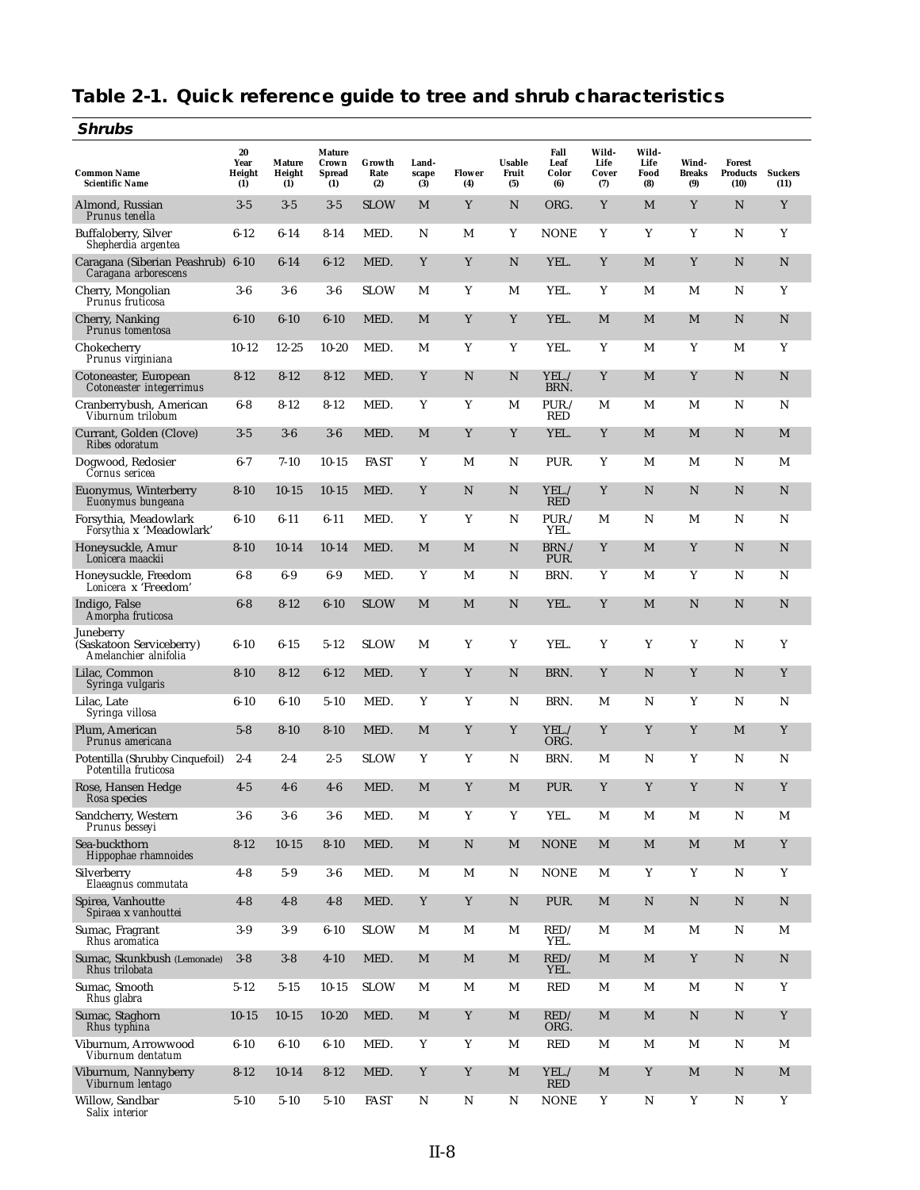# **Table 2-1. Quick reference guide to tree and shrub characteristics**

| <b>Shrubs</b>                                                               |                      |                         |                                         |                    |                |               |                        |                       |                        |                       |                        |                                  |                |
|-----------------------------------------------------------------------------|----------------------|-------------------------|-----------------------------------------|--------------------|----------------|---------------|------------------------|-----------------------|------------------------|-----------------------|------------------------|----------------------------------|----------------|
| <b>Common Name</b>                                                          | 20<br>Year<br>Height | <b>Mature</b><br>Height | <b>Mature</b><br>Crown<br><b>Spread</b> | Growth<br>Rate     | Land-<br>scape | <b>Flower</b> | <b>Usable</b><br>Fruit | Fall<br>Leaf<br>Color | Wild-<br>Life<br>Cover | Wild-<br>Life<br>Food | Wind-<br><b>Breaks</b> | <b>Forest</b><br><b>Products</b> | <b>Suckers</b> |
| <b>Scientific Name</b><br>Almond, Russian                                   | (1)<br>$3 - 5$       | (1)<br>$3-5$            | (1)<br>$3 - 5$                          | (2)<br><b>SLOW</b> | (3)<br>M       | (4)<br>Y      | (5)<br>N               | (6)<br>ORG.           | (7)<br>Y               | (8)<br>M              | (9)<br>Y               | (10)<br>$\mathbb N$              | (11)<br>Y      |
| Prunus tenella<br><b>Buffaloberry, Silver</b>                               | $6 - 12$             | $6 - 14$                | $8 - 14$                                | MED.               | N              | M             | Y                      | <b>NONE</b>           | Y                      | Y                     | Y                      | N                                | Y              |
| Shepherdia argentea<br>Caragana (Siberian Peashrub)<br>Caragana arborescens | $6 - 10$             | $6 - 14$                | $6 - 12$                                | MED.               | Y              | Y             | N                      | YEL.                  | Y                      | M                     | Y                      | N                                | $\mathbf N$    |
| Cherry, Mongolian<br>Prunus fruticosa                                       | $3-6$                | $3-6$                   | $3-6$                                   | <b>SLOW</b>        | M              | Y             | M                      | YEL.                  | Y                      | M                     | M                      | N                                | Y              |
| Cherry, Nanking<br>Prunus tomentosa                                         | $6 - 10$             | $6 - 10$                | $6 - 10$                                | MED.               | M              | Y             | Y                      | YEL.                  | M                      | M                     | M                      | N                                | $\mathbb N$    |
| Chokecherry<br>Prunus virginiana                                            | $10-12$              | $12 - 25$               | $10 - 20$                               | MED.               | M              | Y             | Y                      | YEL.                  | Y                      | M                     | Y                      | M                                | Y              |
| Cotoneaster, European<br>Cotoneaster integerrimus                           | $8-12$               | $8 - 12$                | $8 - 12$                                | MED.               | Y              | N             | N                      | YEL./<br>BRN.         | Y                      | M                     | Y                      | N                                | $\mathbb N$    |
| Cranberrybush, American<br>Viburnum trilobum                                | $6 - 8$              | $8 - 12$                | $8 - 12$                                | MED.               | Y              | Y             | M                      | $PUR$ ./<br>RED       | M                      | M                     | M                      | N                                | N              |
| Currant, Golden (Clove)<br>Ribes odoratum                                   | $3 - 5$              | $3-6$                   | $3-6$                                   | MED.               | M              | Y             | Y                      | YEL.                  | Y                      | M                     | M                      | N                                | M              |
| Dogwood, Redosier<br>Cornus sericea                                         | $6-7$                | $7 - 10$                | $10 - 15$                               | <b>FAST</b>        | Y              | M             | N                      | PUR.                  | Y                      | M                     | M                      | N                                | М              |
| Euonymus, Winterberry<br>Euonymus bungeana                                  | $8 - 10$             | $10 - 15$               | $10-15$                                 | MED.               | Y              | N             | N                      | YEL./<br><b>RED</b>   | Y                      | $\mathbb N$           | N                      | N                                | $\mathbf N$    |
| Forsythia, Meadowlark<br><i>Forsythia x 'Meadowlark'</i>                    | $6 - 10$             | $6 - 11$                | $6 - 11$                                | MED.               | Y              | Y             | N                      | $PUR$ ./<br>YEL.      | М                      | N                     | M                      | N                                | N              |
| Honeysuckle, Amur<br>Lonicera maackii                                       | $8 - 10$             | $10 - 14$               | $10 - 14$                               | MED.               | M              | M             | N                      | BRN./<br>PUR.         | Y                      | M                     | Y                      | N                                | $\mathbb N$    |
| Honeysuckle, Freedom<br>Lonicera x 'Freedom'                                | $6 - 8$              | $6-9$                   | $6-9$                                   | MED.               | Y              | М             | N                      | BRN.                  | Y                      | M                     | Y                      | N                                | N              |
| Indigo, False<br>Amorpha fruticosa                                          | $6 - 8$              | $8 - 12$                | $6 - 10$                                | <b>SLOW</b>        | M              | M             | N                      | YEL.                  | Y                      | M                     | N                      | N                                | $\mathbf N$    |
| Juneberry<br>(Saskatoon Serviceberry)<br>Amelanchier alnifolia              | $6 - 10$             | $6 - 15$                | $5 - 12$                                | <b>SLOW</b>        | M              | Y             | Y                      | YEL.                  | Y                      | Y                     | Y                      | N                                | Y              |
| Lilac, Common<br>Syringa vulgaris                                           | $8 - 10$             | $8 - 12$                | $6 - 12$                                | MED.               | Y              | Y             | N                      | BRN.                  | Y                      | N                     | Y                      | N                                | Y              |
| Lilac, Late<br>Syringa villosa                                              | $6 - 10$             | $6 - 10$                | $5-10$                                  | MED.               | Y              | Y             | N                      | BRN.                  | M                      | N                     | Y                      | N                                | N              |
| Plum, American<br>Prunus americana                                          | $5 - 8$              | $8 - 10$                | $8 - 10$                                | MED.               | M              | Y             | Y                      | YEL./<br>ORG.         | Y                      | Y                     | Y                      | M                                | Y              |
| Potentilla (Shrubby Cinquefoil)<br>Potentilla fruticosa                     | $2 - 4$              | $2 - 4$                 | $2 - 5$                                 | <b>SLOW</b>        | Y              | Y             | N                      | BRN.                  | М                      | N                     | Y                      | N                                | N              |
| Rose, Hansen Hedge<br>Rosa species                                          | $4 - 5$              | $4-6$                   | $4-6$                                   | MED.               | M              | Y             | $\mathbf M$            | PUR.                  | Y                      | Y                     | Y                      | $\mathbb N$                      | Y              |
| Sandcherry, Western<br>Prunus besseyi                                       | $3-6$                | $3-6$                   | $3-6$                                   | MED.               | M              | Y             | Y                      | YEL.                  | M                      | M                     | M                      | N                                | М              |
| Sea-buckthorn<br>Hippophae rhamnoides                                       | $8 - 12$             | $10 - 15$               | $8 - 10$                                | MED.               | M              | N             | M                      | <b>NONE</b>           | $\mathbf{M}$           | M                     | $\mathbf{M}$           | $\mathbf{M}$                     | $\mathbf Y$    |
| Silverberry<br>Elaeagnus commutata                                          | $4 - 8$              | $5-9$                   | $3-6$                                   | MED.               | M              | М             | N                      | <b>NONE</b>           | М                      | Y                     | Y                      | N                                | Y              |
| Spirea, Vanhoutte<br>Spiraea x vanhouttei                                   | $4 - 8$              | $4 - 8$                 | $4 - 8$                                 | MED.               | Y              | Y             | $\mathbf N$            | PUR.                  | $\mathbf{M}$           | ${\bf N}$             | ${\bf N}$              | $\mathbf N$                      | ${\bf N}$      |
| Sumac, Fragrant<br>Rhus aromatica                                           | $3-9$                | $3-9$                   | $6 - 10$                                | <b>SLOW</b>        | M              | М             | М                      | RED/<br>YEL.          | М                      | M                     | M                      | N                                | M              |
| Sumac, Skunkbush (Lemonade)<br>Rhus trilobata                               | $3 - 8$              | $3 - 8$                 | $4 - 10$                                | MED.               | M              | $\mathbf{M}$  | M                      | RED/<br>YEL.          | M                      | M                     | Y                      | $\mathbb N$                      | ${\bf N}$      |
| Sumac, Smooth<br>Rhus glabra                                                | $5 - 12$             | $5 - 15$                | $10-15$                                 | <b>SLOW</b>        | M              | М             | М                      | RED                   | М                      | M                     | M                      | N                                | Y              |
| Sumac, Staghorn<br>Rhus typhina                                             | $10 - 15$            | $10 - 15$               | $10 - 20$                               | MED.               | M              | Y             | $\mathbf{M}$           | RED/<br>ORG.          | $\mathbf{M}$           | M                     | N                      | N                                | $\mathbf Y$    |
| Viburnum, Arrowwood<br>Viburnum dentatum                                    | $6 - 10$             | $6 - 10$                | $6 - 10$                                | MED.               | Y              | Y             | M                      | RED                   | М                      | M                     | M                      | N                                | M              |
| Viburnum, Nannyberry<br>Viburnum lentago                                    | $8 - 12$             | $10 - 14$               | $8 - 12$                                | MED.               | Y              | Y             | $\mathbf{M}$           | YEL./<br><b>RED</b>   | $\mathbf{M}$           | Y                     | $\mathbf{M}$           | ${\bf N}$                        | $\mathbf{M}$   |
| Willow, Sandbar<br>Salix interior                                           | $5 - 10$             | $5 - 10$                | $5 - 10$                                | <b>FAST</b>        | N              | Ν             | N                      | <b>NONE</b>           | Y                      | N                     | Y                      | N                                | Y              |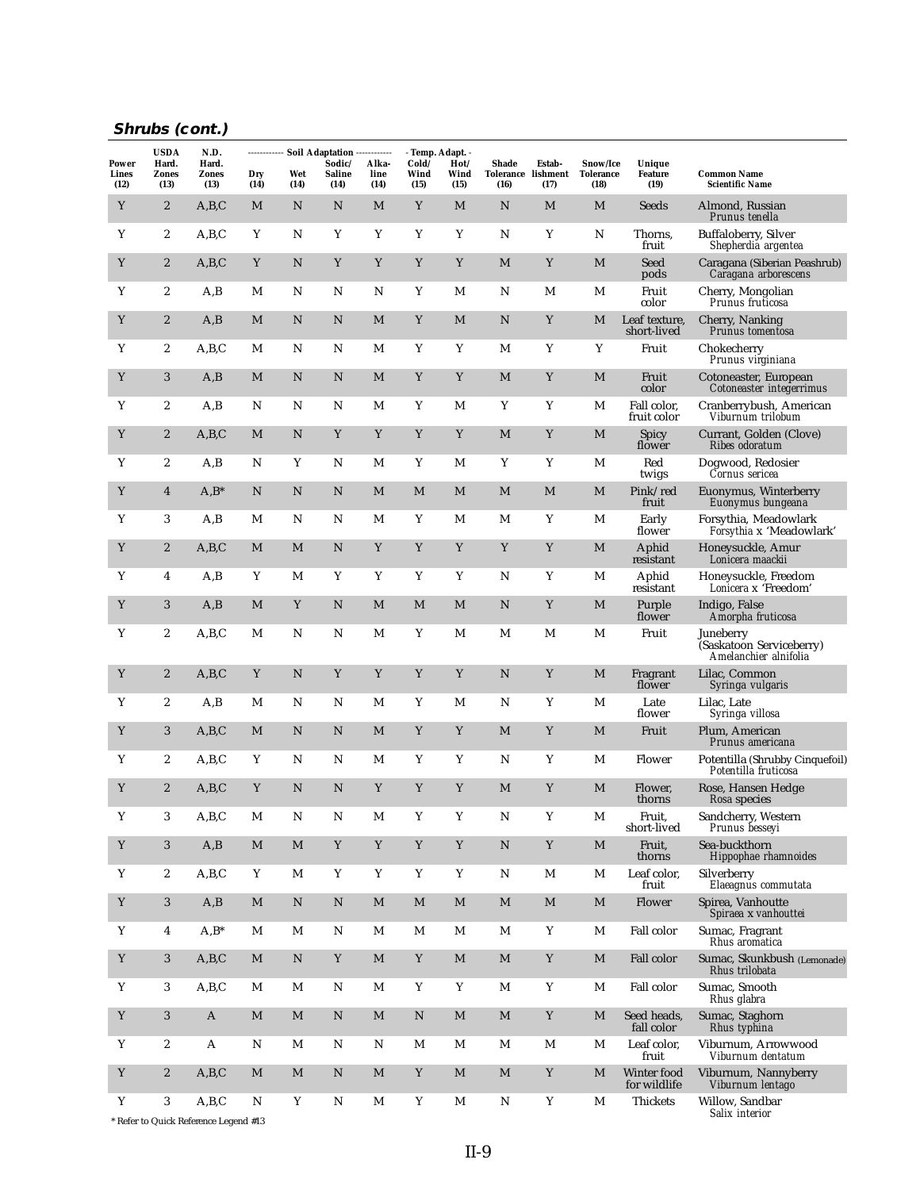### **Shrubs (cont.)**

| Power         | <b>USDA</b><br>Hard. | N.D.<br>Hard.        |              | ------------ Soil Adaptation | Sodic/                | ------------<br>Alka- | - Temp. Adapt. -<br>Cold/ | Hot/         | Shade        | Estab-                     | Snow/Ice                 | Unique                       |                                                                |
|---------------|----------------------|----------------------|--------------|------------------------------|-----------------------|-----------------------|---------------------------|--------------|--------------|----------------------------|--------------------------|------------------------------|----------------------------------------------------------------|
| Lines<br>(12) | <b>Zones</b><br>(13) | <b>Zones</b><br>(13) | Dry<br>(14)  | Wet<br>(14)                  | <b>Saline</b><br>(14) | line<br>(14)          | Wind<br>(15)              | Wind<br>(15) | (16)         | Tolerance lishment<br>(17) | <b>Tolerance</b><br>(18) | Feature<br>(19)              | <b>Common Name</b><br><b>Scientific Name</b>                   |
| Y             | $\boldsymbol{2}$     | A,B,C                | M            | N                            | $\mathbb N$           | M                     | Y                         | M            | N            | M                          | M                        | Seeds                        | Almond, Russian<br>Prunus tenella                              |
| Y             | 2                    | A,B,C                | Y            | N                            | Y                     | Y                     | Y                         | Y            | N            | Y                          | N                        | Thorns,<br>fruit             | Buffaloberry, Silver<br>Shepherdia argentea                    |
| Y             | $\boldsymbol{2}$     | A,B,C                | Y            | N                            | Y                     | Y                     | Y                         | Y            | M            | Y                          | M                        | Seed<br>pods                 | Caragana (Siberian Peashrub)<br>Caragana arborescens           |
| Y             | $\boldsymbol{2}$     | A,B                  | M            | N                            | N                     | N                     | Y                         | М            | N            | M                          | M                        | Fruit<br>color               | Cherry, Mongolian<br>Prunus fruticosa                          |
| Y             | $\boldsymbol{2}$     | A,B                  | M            | N                            | ${\bf N}$             | M                     | Y                         | M            | N            | Y                          | M                        | Leaf texture,<br>short-lived | Cherry, Nanking<br>Prunus tomentosa                            |
| Y             | $\boldsymbol{2}$     | A,B,C                | M            | N                            | N                     | M                     | Y                         | Y            | М            | Y                          | Y                        | Fruit                        | Chokecherry<br>Prunus virginiana                               |
| Y             | 3                    | A,B                  | M            | N                            | $\mathbb N$           | M                     | Y                         | Y            | M            | Y                          | M                        | Fruit<br>color               | Cotoneaster, European<br>Cotoneaster integerrimus              |
| Y             | 2                    | A,B                  | N            | N                            | N                     | M                     | Y                         | M            | Y            | Y                          | M                        | Fall color,<br>fruit color   | Cranberrybush, American<br>Viburnum trilobum                   |
| Y             | $\overline{c}$       | A,B,C                | M            | $\mathbf N$                  | Y                     | $\mathbf Y$           | $\mathbf Y$               | Y            | M            | Y                          | M                        | <b>Spicy</b><br>flower       | Currant, Golden (Clove)<br>Ribes odoratum                      |
| Y             | $\boldsymbol{2}$     | A,B                  | N            | Y                            | N                     | M                     | Y                         | M            | Y            | Y                          | M                        | Red<br>twigs                 | Dogwood, Redosier<br>Cornus sericea                            |
| Y             | $\overline{4}$       | $A,B^*$              | $\mathbf N$  | $\mathbb N$                  | ${\bf N}$             | M                     | M                         | M            | M            | M                          | M                        | Pink/red<br>fruit            | Euonymus, Winterberry<br>Euonymus bungeana                     |
| Y             | 3                    | A,B                  | M            | N                            | N                     | M                     | Y                         | M            | М            | Y                          | M                        | Early<br>flower              | Forsythia, Meadowlark<br>Forsythia x 'Meadowlark'              |
| Y             | $\boldsymbol{2}$     | A,B,C                | M            | M                            | N                     | Y                     | Y                         | Y            | Y            | Y                          | M                        | Aphid<br>resistant           | Honeysuckle, Amur<br>Lonicera maackii                          |
| Y             | 4                    | A,B                  | Y            | M                            | Y                     | Y                     | Y                         | Y            | N            | Y                          | M                        | Aphid<br>resistant           | Honeysuckle, Freedom<br>Lonicera x 'Freedom'                   |
| Y             | 3                    | A,B                  | M            | Y                            | N                     | M                     | M                         | M            | $\mathbf N$  | Y                          | M                        | Purple<br>flower             | Indigo, False<br>Amorpha fruticosa                             |
| Y             | $\boldsymbol{2}$     | A,B,C                | M            | N                            | N                     | M                     | Y                         | М            | М            | M                          | M                        | Fruit                        | Juneberry<br>(Saskatoon Serviceberry)<br>Amelanchier alnifolia |
| Y             | $\boldsymbol{2}$     | A,B,C                | Y            | N                            | Y                     | Y                     | Y                         | Y            | ${\bf N}$    | Y                          | M                        | Fragrant<br>flower           | Lilac, Common<br>Syringa vulgaris                              |
| Y             | 2                    | A,B                  | M            | N                            | N                     | M                     | Y                         | M            | N            | Y                          | M                        | Late<br>flower               | Lilac, Late<br>Syringa villosa                                 |
| Y             | 3                    | A,B,C                | M            | N                            | ${\bf N}$             | M                     | Y                         | Y            | M            | Y                          | M                        | Fruit                        | Plum, American<br>Prunus americana                             |
| Y             | 2                    | A,B,C                | Y            | N                            | N                     | M                     | Y                         | Y            | N            | Y                          | M                        | Flower                       | Potentilla (Shrubby Cinquefoil)<br>Potentilla fruticosa        |
| Y             | $\boldsymbol{2}$     | A,B,C                | Y            | N                            | $\mathbb N$           | Y                     | Y                         | Y            | M            | Y                          | M                        | Flower,<br>thorns            | Rose, Hansen Hedge<br>Rosa species                             |
| Y             | 3                    | A,B,C                | M            | N                            | N                     | M                     | Y                         | Y            | N            | Y                          | M                        | Fruit,<br>short-lived        | Sandcherry, Western<br>Prunus besseyi                          |
| Y             | 3                    | A, B                 | $\mathbf{M}$ | $\mathbf{M}$                 | $\mathbf Y$           | $\mathbf Y$           | Y                         | $\mathbf Y$  | $\mathbf N$  | $\mathbf Y$                | M                        | Fruit,<br>thorns             | Sea-buckthorn<br>Hippophae rhamnoides                          |
| Y             | $\boldsymbol{2}$     | A,B,C                | Y            | М                            | Y                     | Y                     | Y                         | Y            | N            | M                          | M                        | Leaf color,<br>fruit         | Silverberry<br>Elaeagnus commutata                             |
| $\mathbf Y$   | 3                    | A,B                  | $\mathbf{M}$ | $\mathbf N$                  | ${\bf N}$             | M                     | $\mathbf{M}$              | $\mathbf M$  | $\mathbf M$  | M                          | $\mathbf{M}$             | Flower                       | Spirea, Vanhoutte<br>Spiraea x vanhouttei                      |
| Y             | 4                    | $A,B^*$              | M            | M                            | N                     | M                     | M                         | M            | М            | Y                          | M                        | Fall color                   | Sumac, Fragrant<br>Rhus aromatica                              |
| Y             | 3                    | A,B,C                | M            | N                            | Y                     | M                     | Y                         | M            | M            | Y                          | M                        | Fall color                   | Sumac, Skunkbush (Lemonade)<br>Rhus trilobata                  |
| Y             | 3                    | A,B,C                | M            | M                            | N                     | M                     | Y                         | Y            | М            | $\mathbf Y$                | M                        | Fall color                   | Sumac, Smooth<br>Rhus glabra                                   |
| $\mathbf Y$   | $\mathbf{3}$         | $\mathbf{A}$         | $\mathbf{M}$ | M                            | $\mathbf N$           | $\mathbf{M}$          | $\mathbf N$               | M            | $\mathbf{M}$ | Y                          | M                        | Seed heads,<br>fall color    | Sumac, Staghorn<br>Rhus typhina                                |
| Y             | $\boldsymbol{2}$     | A                    | N            | M                            | N                     | N                     | M                         | M            | М            | M                          | M                        | Leaf color,<br>fruit         | Viburnum, Arrowwood<br>Viburnum dentatum                       |
| $\mathbf Y$   | $\mathbf{2}$         | A,B,C                | M            | M                            | N                     | $\mathbf{M}$          | Y                         | $\mathbf M$  | $\mathbf M$  | $\mathbf Y$                | M                        | Winter food<br>for wildlife  | Viburnum, Nannyberry<br>Viburnum lentago                       |
| Y             | 3                    | A,B,C                | N            | Y                            | N                     | M                     | Y                         | M            | N            | $\mathbf Y$                | M                        | Thickets                     | Willow, Sandbar<br>Salix interior                              |

\* Refer to Quick Reference Legend #13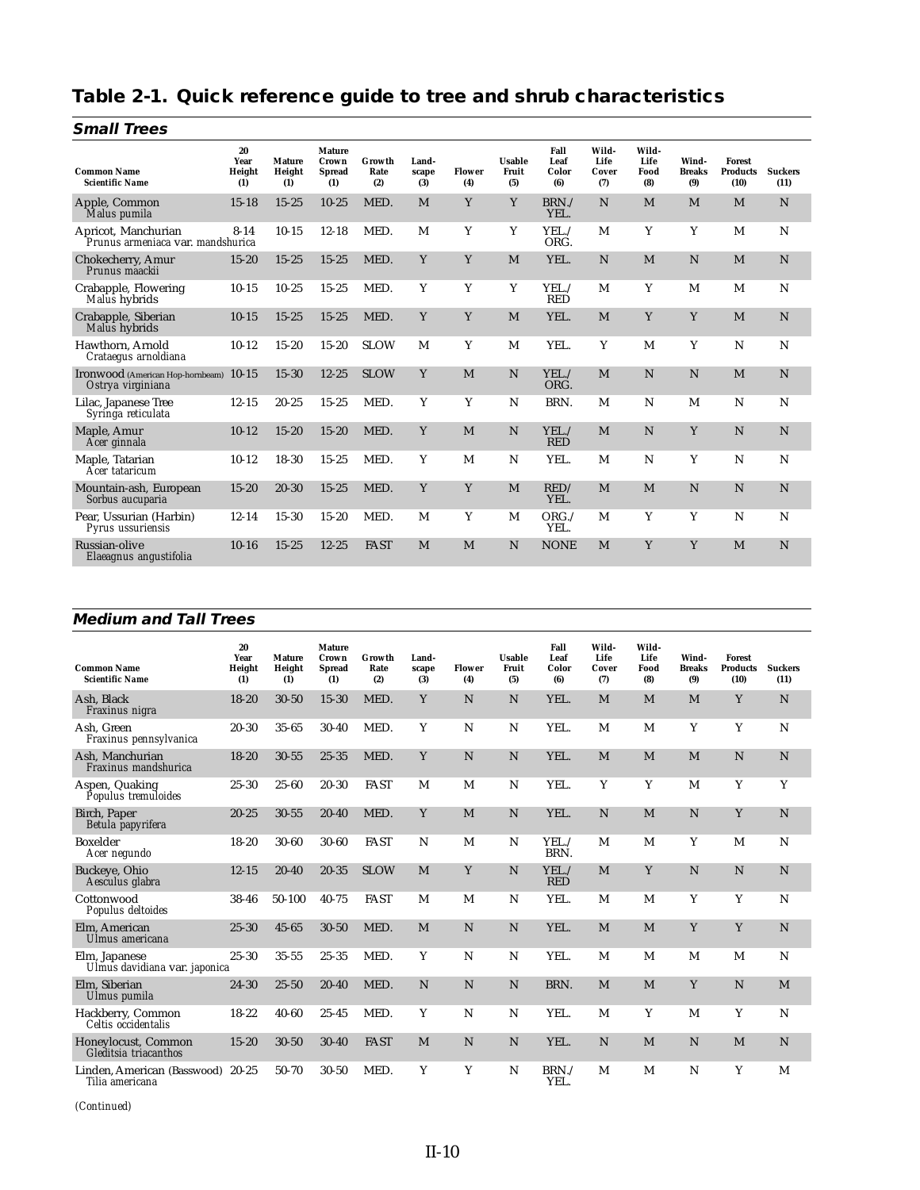# **Table 2-1. Quick reference guide to tree and shrub characteristics**

| <b>Small Trees</b>                                          |                             |                                |                                                |                       |                       |                      |                               |                              |                               |                              |                               |                                          |                        |
|-------------------------------------------------------------|-----------------------------|--------------------------------|------------------------------------------------|-----------------------|-----------------------|----------------------|-------------------------------|------------------------------|-------------------------------|------------------------------|-------------------------------|------------------------------------------|------------------------|
| <b>Common Name</b><br><b>Scientific Name</b>                | 20<br>Year<br>Height<br>(1) | <b>Mature</b><br>Height<br>(1) | <b>Mature</b><br>Crown<br><b>Spread</b><br>(1) | Growth<br>Rate<br>(2) | Land-<br>scape<br>(3) | <b>Flower</b><br>(4) | <b>Usable</b><br>Fruit<br>(5) | Fall<br>Leaf<br>Color<br>(6) | Wild-<br>Life<br>Cover<br>(7) | Wild-<br>Life<br>Food<br>(8) | Wind-<br><b>Breaks</b><br>(9) | <b>Forest</b><br><b>Products</b><br>(10) | <b>Suckers</b><br>(11) |
| Apple, Common<br>Malus pumila                               | $15 - 18$                   | $15 - 25$                      | $10 - 25$                                      | MED.                  | M                     | Y                    | Y                             | BRN./<br>YEL.                | N                             | M                            | M                             | M                                        | $\overline{N}$         |
| Apricot, Manchurian<br>Prunus armeniaca var. mandshurica    | $8 - 14$                    | $10 - 15$                      | $12 - 18$                                      | MED.                  | M                     | Y                    | Y                             | YEL./<br>ORG.                | M                             | Y                            | Y                             | M                                        | N                      |
| Chokecherry, Amur<br>Prunus maackii                         | $15 - 20$                   | $15 - 25$                      | $15 - 25$                                      | MED.                  | Y                     | Y                    | M                             | YEL.                         | N                             | M                            | $\overline{N}$                | M                                        | $\overline{N}$         |
| Crabapple, Flowering<br>Malus hybrids                       | $10 - 15$                   | $10 - 25$                      | $15 - 25$                                      | MED.                  | Y                     | Y                    | Y                             | YEL./<br><b>RED</b>          | M                             | Y                            | M                             | M                                        | N                      |
| Crabapple, Siberian<br>Malus hybrids                        | $10 - 15$                   | $15 - 25$                      | $15 - 25$                                      | MED.                  | Y                     | Y                    | M                             | YEL.                         | M                             | Y                            | Y                             | M                                        | $\mathbf N$            |
| Hawthorn, Arnold<br>Crataegus arnoldiana                    | $10 - 12$                   | $15 - 20$                      | $15 - 20$                                      | <b>SLOW</b>           | M                     | Y                    | M                             | YEL.                         | Y                             | M                            | Y                             | N                                        | N                      |
| Ironwood (American Hop-hornbeam) 10-15<br>Ostrya virginiana |                             | $15 - 30$                      | $12 - 25$                                      | <b>SLOW</b>           | Y                     | M                    | N                             | YEL./<br>ORG.                | M                             | N                            | $\mathbf N$                   | M                                        | $\mathbf N$            |
| Lilac, Japanese Tree<br>Syringa reticulata                  | $12 - 15$                   | $20 - 25$                      | $15 - 25$                                      | MED.                  | Y                     | Y                    | N                             | BRN.                         | M                             | N                            | M                             | N                                        | N                      |
| Maple, Amur<br>Acer ginnala                                 | $10 - 12$                   | $15 - 20$                      | $15 - 20$                                      | MED.                  | Y                     | M                    | $\overline{N}$                | YEL./<br><b>RED</b>          | M                             | N                            | Y                             | N                                        | $\overline{N}$         |
| Maple, Tatarian<br>Acer tataricum                           | $10-12$                     | 18-30                          | $15 - 25$                                      | MED.                  | Y                     | M                    | N                             | YEL.                         | M                             | N                            | Y                             | N                                        | N                      |
| Mountain-ash, European<br>Sorbus aucuparia                  | $15 - 20$                   | $20 - 30$                      | $15 - 25$                                      | MED.                  | Y                     | Y                    | M                             | RED/<br>YEL.                 | M                             | M                            | $\mathbf N$                   | $\overline{N}$                           | N                      |
| Pear, Ussurian (Harbin)<br>Pyrus ussuriensis                | $12 - 14$                   | $15 - 30$                      | $15 - 20$                                      | MED.                  | M                     | Y                    | M                             | ORG. /<br>YEL.               | M                             | Y                            | Y                             | N                                        | N                      |
| Russian-olive<br>Elaeagnus angustifolia                     | $10-16$                     | $15 - 25$                      | $12 - 25$                                      | <b>FAST</b>           | M                     | M                    | N                             | <b>NONE</b>                  | M                             | Y                            | Y                             | M                                        | $\overline{N}$         |

#### **Medium and Tall Trees**

| <b>Common Name</b><br><b>Scientific Name</b>   | 20<br>Year<br>Height<br>(1) | <b>Mature</b><br>Height<br>(1) | <b>Mature</b><br>Crown<br><b>Spread</b><br>(1) | Growth<br>Rate<br>(2) | Land-<br>scape<br>(3) | <b>Flower</b><br>(4) | Usable<br>Fruit<br>(5) | Fall<br>Leaf<br>Color<br>(6) | Wild-<br>Life<br>Cover<br>(7) | Wild-<br>Life<br>Food<br>(8) | Wind-<br><b>Breaks</b><br>(9) | <b>Forest</b><br><b>Products</b><br>(10) | <b>Suckers</b><br>(11) |
|------------------------------------------------|-----------------------------|--------------------------------|------------------------------------------------|-----------------------|-----------------------|----------------------|------------------------|------------------------------|-------------------------------|------------------------------|-------------------------------|------------------------------------------|------------------------|
| Ash. Black<br>Fraxinus nigra                   | $18 - 20$                   | $30 - 50$                      | $15 - 30$                                      | MED.                  | Y                     | N                    | N                      | YEL.                         | M                             | M                            | M                             | Y                                        | N                      |
| Ash, Green<br>Fraxinus pennsylvanica           | 20-30                       | $35 - 65$                      | $30 - 40$                                      | MED.                  | Y                     | N                    | N                      | YEL.                         | M                             | M                            | Y                             | Y                                        | N                      |
| Ash, Manchurian<br>Fraxinus mandshurica        | $18 - 20$                   | $30 - 55$                      | $25 - 35$                                      | MED.                  | Y                     | ${\bf N}$            | N                      | YEL.                         | M                             | M                            | M                             | N                                        | $\mathbf N$            |
| Aspen, Quaking<br>Populus tremuloides          | 25-30                       | $25 - 60$                      | $20 - 30$                                      | <b>FAST</b>           | M                     | M                    | N                      | YEL.                         | Y                             | Y                            | M                             | Y                                        | Y                      |
| Birch, Paper<br>Betula papyrifera              | $20 - 25$                   | $30 - 55$                      | $20 - 40$                                      | MED.                  | Y                     | M                    | $\mathbf N$            | YEL.                         | N                             | M                            | N                             | Y                                        | $\mathbf N$            |
| <b>Boxelder</b><br>Acer negundo                | $18 - 20$                   | $30 - 60$                      | $30 - 60$                                      | <b>FAST</b>           | N                     | M                    | N                      | YEL./<br>BRN.                | M                             | M                            | Y                             | M                                        | N                      |
| Buckeye, Ohio<br>Aesculus glabra               | $12 - 15$                   | $20 - 40$                      | $20 - 35$                                      | <b>SLOW</b>           | M                     | Y                    | N                      | YEL./<br><b>RED</b>          | M                             | Y                            | N                             | N                                        | N                      |
| Cottonwood<br>Populus deltoides                | $38 - 46$                   | $50 - 100$                     | $40 - 75$                                      | <b>FAST</b>           | M                     | M                    | N                      | YEL.                         | M                             | M                            | Y                             | Y                                        | N                      |
| Elm, American<br>Ulmus americana               | $25 - 30$                   | $45 - 65$                      | $30 - 50$                                      | MED.                  | M                     | $\mathbf N$          | $\mathbf N$            | YEL.                         | M                             | M                            | Y                             | Y                                        | N                      |
| Elm, Japanese<br>Ulmus davidiana var. japonica | $25 - 30$                   | $35 - 55$                      | $25 - 35$                                      | MED.                  | Y                     | N                    | N                      | YEL.                         | M                             | M                            | M                             | M                                        | N                      |
| Elm. Siberian<br>Ulmus pumila                  | 24-30                       | $25 - 50$                      | $20 - 40$                                      | MED.                  | $\mathbf N$           | $\mathbf N$          | $\overline{N}$         | BRN.                         | M                             | M                            | Y                             | N                                        | M                      |
| Hackberry, Common<br>Celtis occidentalis       | 18-22                       | $40 - 60$                      | $25 - 45$                                      | MED.                  | Y                     | N                    | N                      | YEL.                         | M                             | Y                            | M                             | Y                                        | N                      |
| Honeylocust, Common<br>Gleditsia triacanthos   | $15 - 20$                   | $30 - 50$                      | $30 - 40$                                      | <b>FAST</b>           | M                     | $\mathbf N$          | N                      | YEL.                         | N                             | M                            | N                             | M                                        | N                      |
| Linden, American (Basswood)<br>Tilia americana | $20 - 25$                   | 50-70                          | $30 - 50$                                      | MED.                  | Y                     | Y                    | N                      | BRN./<br>YEL.                | M                             | M                            | N                             | Y                                        | M                      |

*(Continued)*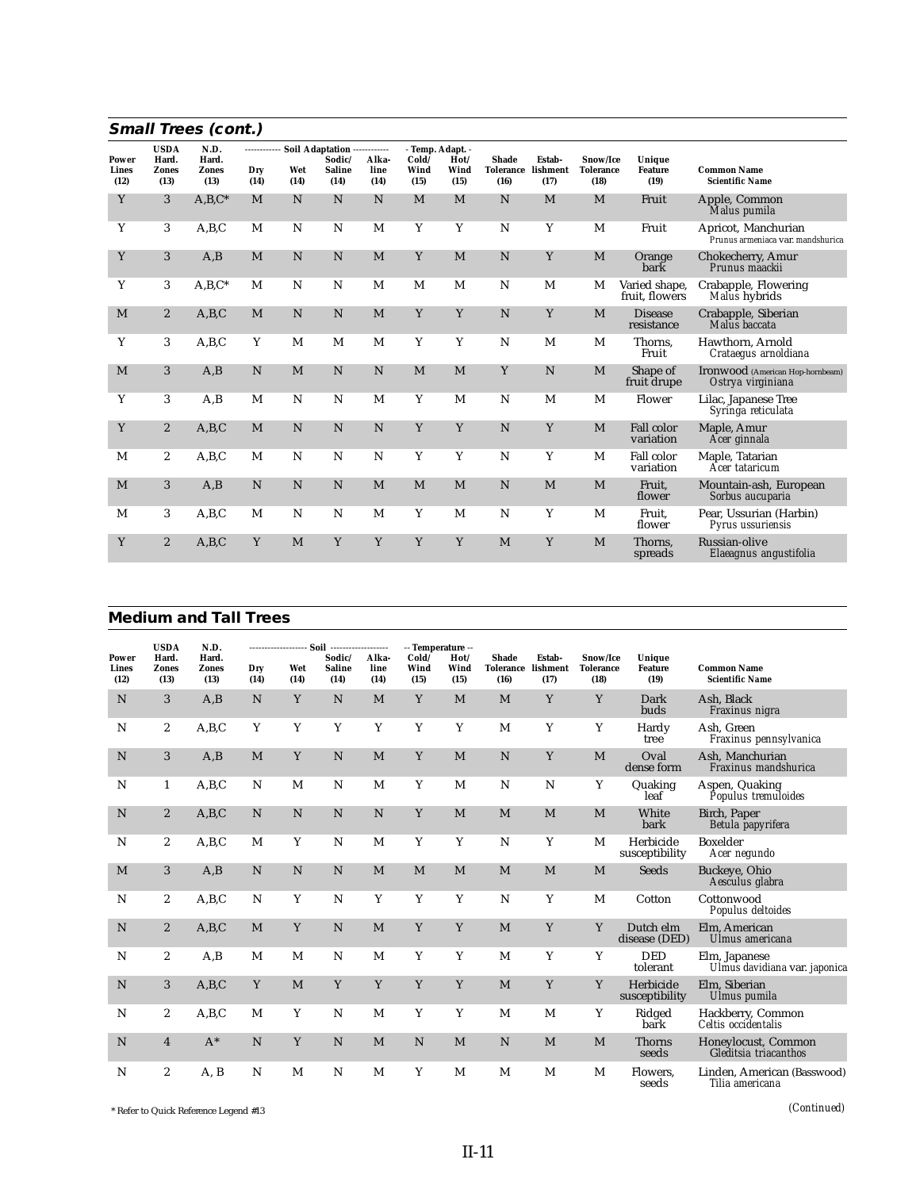|                        | <b>Small Trees (cont.)</b>                   |                                       |                           |                |                                                                 |                       |                       |                                          |                                          |                            |                                      |                                  |                                                          |
|------------------------|----------------------------------------------|---------------------------------------|---------------------------|----------------|-----------------------------------------------------------------|-----------------------|-----------------------|------------------------------------------|------------------------------------------|----------------------------|--------------------------------------|----------------------------------|----------------------------------------------------------|
| Power<br>Lines<br>(12) | <b>USDA</b><br>Hard.<br><b>Zones</b><br>(13) | N.D.<br>Hard.<br><b>Zones</b><br>(13) | ----------<br>Dry<br>(14) | Wet<br>(14)    | Soil Adaptation ------------<br>Sodic/<br><b>Saline</b><br>(14) | Alka-<br>line<br>(14) | Cold/<br>Wind<br>(15) | - Temp. Adapt. -<br>Hot/<br>Wind<br>(15) | <b>Shade</b><br><b>Tolerance</b><br>(16) | Estab-<br>lishment<br>(17) | Snow/Ice<br><b>Tolerance</b><br>(18) | Unique<br><b>Feature</b><br>(19) | <b>Common Name</b><br><b>Scientific Name</b>             |
| Y                      | 3                                            | $A, B, C^*$                           | M                         | N              | N                                                               | N                     | M                     | M                                        | N                                        | M                          | M                                    | Fruit                            | Apple, Common<br>Malus pumila                            |
| Y                      | 3                                            | A,B,C                                 | M                         | N              | N                                                               | M                     | Y                     | Y                                        | N                                        | Y                          | M                                    | Fruit                            | Apricot, Manchurian<br>Prunus armeniaca var. mandshurica |
| Y                      | 3                                            | A, B                                  | M                         | $\overline{N}$ | N                                                               | M                     | Y                     | $\mathbf{M}$                             | $\overline{N}$                           | Y                          | M                                    | Orange<br>bark                   | Chokecherry, Amur<br>Prunus maackii                      |
| Y                      | 3                                            | $A, B, C^*$                           | M                         | N              | N                                                               | M                     | M                     | M                                        | $\mathbf N$                              | M                          | M                                    | Varied shape,<br>fruit, flowers  | Crabapple, Flowering<br>Malus hybrids                    |
| M                      | $\overline{2}$                               | A,B,C                                 | M                         | $\mathbf N$    | $\mathbf N$                                                     | M                     | Y                     | Y                                        | N                                        | Y                          | M                                    | <b>Disease</b><br>resistance     | Crabapple, Siberian<br>Malus baccata                     |
| Y                      | 3                                            | A,B,C                                 | Y                         | M              | M                                                               | M                     | Y                     | Y                                        | N                                        | M                          | M                                    | Thorns.<br>Fruit                 | Hawthorn, Arnold<br>Crataegus arnoldiana                 |
| M                      | 3                                            | A, B                                  | N                         | M              | N                                                               | N                     | M                     | M                                        | Y                                        | N                          | M                                    | Shape of<br>fruit drupe          | Ironwood (American Hop-hornbeam)<br>Ostrya virginiana    |
| Y                      | 3                                            | A, B                                  | M                         | N              | N                                                               | M                     | Y                     | M                                        | N                                        | M                          | M                                    | Flower                           | Lilac, Japanese Tree<br>Syringa reticulata               |
| Y                      | $\overline{2}$                               | A,B,C                                 | M                         | $\mathbf N$    | N                                                               | N                     | Y                     | Y                                        | N                                        | Y                          | M                                    | <b>Fall color</b><br>variation   | Maple, Amur<br>Acer ginnala                              |
| M                      | $\mathbf{2}$                                 | A,B,C                                 | M                         | N              | N                                                               | N                     | Y                     | Y                                        | N                                        | Y                          | M                                    | Fall color<br>variation          | Maple. Tatarian<br><b>Acer tataricum</b>                 |
| M                      | 3                                            | A, B                                  | N                         | $\mathbf N$    | N                                                               | M                     | M                     | M                                        | N                                        | M                          | M                                    | Fruit.<br>flower                 | Mountain-ash, European<br>Sorbus aucuparia               |
| M                      | 3                                            | A,B,C                                 | M                         | N              | N                                                               | M                     | Y                     | M                                        | N                                        | Y                          | M                                    | Fruit.<br>flower                 | Pear, Ussurian (Harbin)<br>Pyrus ussuriensis             |
| Y                      | $\overline{2}$                               | A,B,C                                 | Y                         | M              | Y                                                               | Y                     | Y                     | Y                                        | M                                        | Y                          | M                                    | Thorns.<br>spreads               | Russian-olive<br>Elaeagnus angustifolia                  |

### **Medium and Tall Trees**

|                        | <b>USDA</b>                   | N.D.                          |             |                | Soil -------------------        |                       | -- Temperature --     |                      |                                                   |                |                                      |                                  |                                                |
|------------------------|-------------------------------|-------------------------------|-------------|----------------|---------------------------------|-----------------------|-----------------------|----------------------|---------------------------------------------------|----------------|--------------------------------------|----------------------------------|------------------------------------------------|
| Power<br>Lines<br>(12) | Hard.<br><b>Zones</b><br>(13) | Hard.<br><b>Zones</b><br>(13) | Dry<br>(14) | Wet<br>(14)    | Sodic/<br><b>Saline</b><br>(14) | Alka-<br>line<br>(14) | Cold/<br>Wind<br>(15) | Hot/<br>Wind<br>(15) | <b>Shade</b><br><b>Tolerance lishment</b><br>(16) | Estab-<br>(17) | Snow/Ice<br><b>Tolerance</b><br>(18) | Unique<br><b>Feature</b><br>(19) | <b>Common Name</b><br><b>Scientific Name</b>   |
| $\overline{N}$         | 3                             | A, B                          | $\mathbf N$ | Y              | N                               | M                     | Y                     | M                    | M                                                 | Y              | Y                                    | Dark<br>buds                     | Ash, Black<br>Fraxinus nigra                   |
| N                      | $\overline{2}$                | A.B.C                         | Y           | Y              | Y                               | Y                     | Y                     | Y                    | M                                                 | Y              | Y                                    | Hardy<br>tree                    | Ash. Green<br>Fraxinus pennsylvanica           |
| $\overline{N}$         | 3                             | A, B                          | M           | Y              | N                               | M                     | Y                     | M                    | ${\bf N}$                                         | Y              | M                                    | Oval<br>dense form               | Ash, Manchurian<br>Fraxinus mandshurica        |
| N                      | $\mathbf{1}$                  | A, B, C                       | N           | M              | N                               | M                     | Y                     | M                    | $\mathbb N$                                       | N              | Y                                    | Quaking<br>leaf                  | Aspen, Quaking<br>Populus tremuloides          |
| N                      | $\overline{2}$                | A,B,C                         | N           | N              | N                               | N                     | Y                     | M                    | M                                                 | M              | M                                    | White<br>bark                    | Birch, Paper<br>Betula papyrifera              |
| N                      | $\boldsymbol{2}$              | A,B,C                         | M           | Y              | N                               | M                     | Y                     | Y                    | N                                                 | Y              | M                                    | Herbicide<br>susceptibility      | Boxelder<br>Acer negundo                       |
| M                      | 3                             | A, B                          | $\mathbf N$ | $\overline{N}$ | N                               | M                     | M                     | M                    | $\mathbf{M}$                                      | M              | M                                    | Seeds                            | Buckeye, Ohio<br>Aesculus glabra               |
| N                      | $\mathbf{2}$                  | A, B, C                       | N           | Y              | N                               | Y                     | Y                     | Y                    | N                                                 | Y              | M                                    | Cotton                           | Cottonwood<br>Populus deltoides                |
| $\overline{N}$         | $\overline{2}$                | A,B,C                         | $M$         | Y              | N                               | M                     | Y                     | Y                    | M                                                 | Y              | Y                                    | Dutch elm<br>disease (DED)       | Elm. American<br>Ulmus americana               |
| N                      | $\overline{2}$                | A, B                          | M           | M              | N                               | M                     | Y                     | Y                    | M                                                 | Y              | Y                                    | <b>DED</b><br>tolerant           | Elm, Japanese<br>Ulmus davidiana var. japonica |
| N                      | 3                             | A,B,C                         | Y           | M              | Y                               | Y                     | Y                     | Y                    | M                                                 | Y              | Y                                    | Herbicide<br>susceptibility      | Elm. Siberian<br>Ulmus pumila                  |
| N                      | $\boldsymbol{2}$              | A,B,C                         | M           | Y              | N                               | M                     | Y                     | Y                    | M                                                 | M              | Y                                    | Ridged<br>bark                   | Hackberry, Common<br>Celtis occidentalis       |
| $\overline{N}$         | $\overline{4}$                | $A^*$                         | N           | Y              | N                               | M                     | N                     | M                    | $\mathbf N$                                       | M              | M                                    | <b>Thorns</b><br>seeds           | Honeylocust, Common<br>Gleditsia triacanthos   |
| N                      | $\overline{c}$                | A, B                          | N           | M              | N                               | M                     | Y                     | M                    | M                                                 | M              | M                                    | Flowers.<br>seeds                | Linden, American (Basswood)<br>Tilia americana |

*(Continued)* \* Refer to Quick Reference Legend #13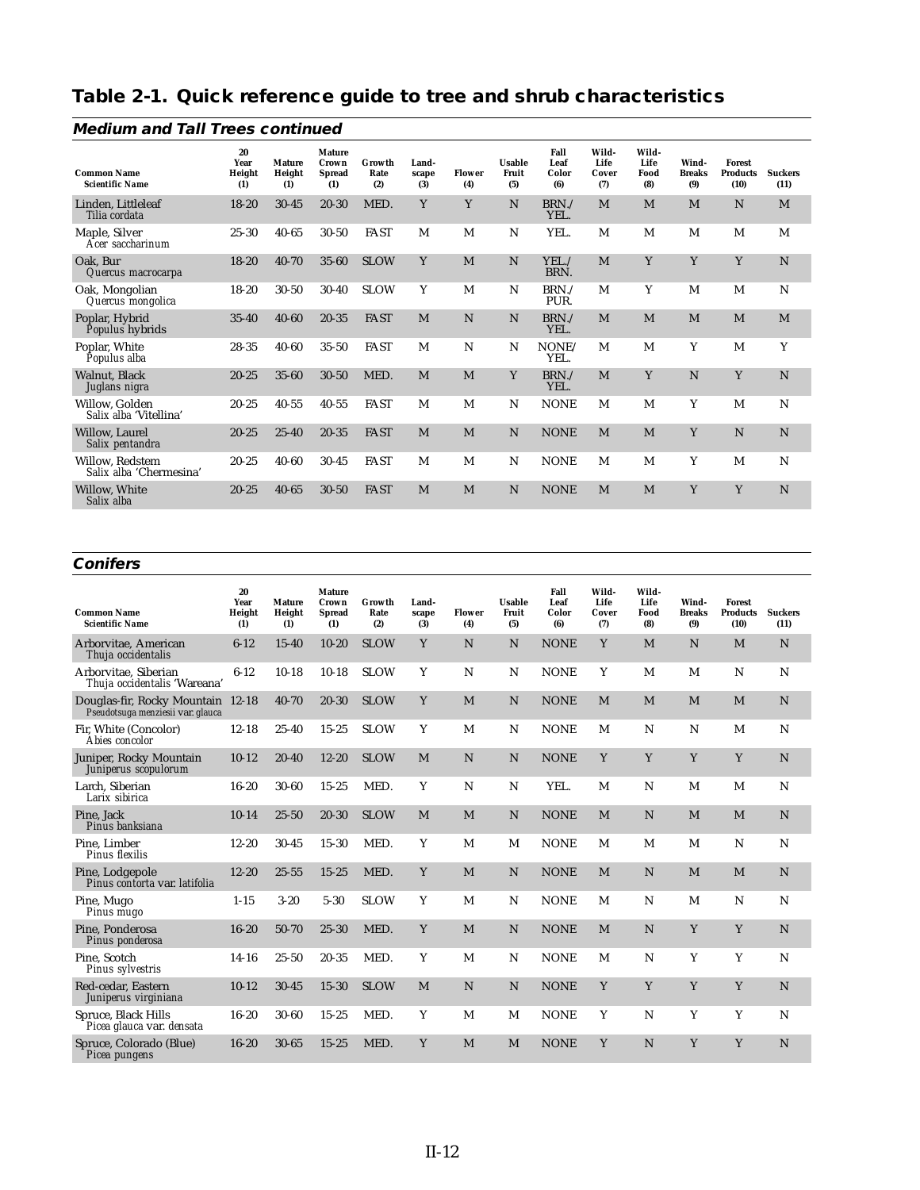# **Table 2-1. Quick reference guide to tree and shrub characteristics**

| <b>Common Name</b><br><b>Scientific Name</b> | 20<br>Year<br>Height<br>(1) | <b>Mature</b><br>Height<br>(1) | <b>Mature</b><br>Crown<br><b>Spread</b><br>(1) | Growth<br>Rate<br>(2) | Land-<br>scape<br>(3) | <b>Flower</b><br>(4) | Usable<br>Fruit<br>(5) | Fall<br>Leaf<br>Color<br>(6) | Wild-<br>Life<br>Cover<br>(7) | Wild-<br>Life<br>Food<br>(8) | Wind-<br><b>Breaks</b><br>(9) | <b>Forest</b><br><b>Products</b><br>(10) | <b>Suckers</b><br>(11) |  |
|----------------------------------------------|-----------------------------|--------------------------------|------------------------------------------------|-----------------------|-----------------------|----------------------|------------------------|------------------------------|-------------------------------|------------------------------|-------------------------------|------------------------------------------|------------------------|--|
| Linden, Littleleaf<br>Tilia cordata          | $18 - 20$                   | $30 - 45$                      | $20 - 30$                                      | MED.                  | Y                     | Y                    | $\mathbf N$            | BRN./<br>YEL.                | M                             | M                            | M                             | N                                        | M                      |  |
| Maple, Silver<br>Acer saccharinum            | 25-30                       | $40 - 65$                      | $30 - 50$                                      | <b>FAST</b>           | M                     | M                    | N                      | YEL.                         | M                             | M                            | M                             | M                                        | M                      |  |
| Oak, Bur<br>Quercus macrocarpa               | $18 - 20$                   | $40 - 70$                      | $35 - 60$                                      | <b>SLOW</b>           | Y                     | M                    | N                      | YEL./<br>BRN.                | M                             | Y                            | Y                             | Y                                        | N                      |  |
| Oak, Mongolian<br>Quercus mongolica          | 18-20                       | $30 - 50$                      | $30 - 40$                                      | <b>SLOW</b>           | Y                     | M                    | N                      | BRN./<br>PUR.                | M                             | Y                            | M                             | M                                        | N                      |  |
| Poplar, Hybrid<br>Populus hybrids            | $35 - 40$                   | $40 - 60$                      | $20 - 35$                                      | <b>FAST</b>           | M                     | N                    | $\mathbf N$            | BRN./<br>YEL.                | M                             | M                            | M                             | M                                        | M                      |  |
| Poplar, White<br>Populus alba                | 28-35                       | $40 - 60$                      | $35 - 50$                                      | <b>FAST</b>           | M                     | N                    | N                      | NONE/<br>YEL.                | M                             | M                            | Y                             | M                                        | Y                      |  |
| <b>Walnut</b> . Black<br>Juglans nigra       | $20 - 25$                   | $35 - 60$                      | $30 - 50$                                      | MED.                  | M                     | M                    | Y                      | BRN./<br>YEL.                | M                             | Y                            | N                             | Y                                        | N                      |  |
| Willow. Golden<br>Salix alba 'Vitellina'     | $20 - 25$                   | $40 - 55$                      | $40 - 55$                                      | <b>FAST</b>           | M                     | M                    | N                      | <b>NONE</b>                  | M                             | M                            | Y                             | M                                        | N                      |  |
| <b>Willow, Laurel</b><br>Salix pentandra     | $20 - 25$                   | $25 - 40$                      | $20 - 35$                                      | <b>FAST</b>           | M                     | M                    | N                      | <b>NONE</b>                  | M                             | M                            | Y                             | N                                        | N                      |  |
| Willow. Redstem<br>Salix alba 'Chermesina'   | $20 - 25$                   | $40 - 60$                      | $30 - 45$                                      | <b>FAST</b>           | M                     | M                    | N                      | <b>NONE</b>                  | M                             | M                            | Y                             | M                                        | N                      |  |
| Willow, White<br>Salix alba                  | $20 - 25$                   | $40 - 65$                      | $30 - 50$                                      | <b>FAST</b>           | M                     | M                    | $\mathbf N$            | <b>NONE</b>                  | M                             | M                            | Y                             | Y                                        | N                      |  |

### **Medium and Tall Trees continued**

#### **Conifers**

| <b>Common Name</b><br><b>Scientific Name</b>                     | 20<br>Year<br>Height<br>(1) | <b>Mature</b><br>Height<br>(1) | <b>Mature</b><br>Crown<br><b>Spread</b><br>(1) | Growth<br>Rate<br>(2) | Land-<br>scape<br>(3) | <b>Flower</b><br>(4) | <b>Usable</b><br>Fruit<br>(5) | Fall<br>Leaf<br>Color<br>(6) | Wild-<br>Life<br>Cover<br>(7) | Wild-<br>Life<br>Food<br>(8) | Wind-<br>Breaks<br>(9) | <b>Forest</b><br><b>Products</b><br>(10) | <b>Suckers</b><br>(11) |
|------------------------------------------------------------------|-----------------------------|--------------------------------|------------------------------------------------|-----------------------|-----------------------|----------------------|-------------------------------|------------------------------|-------------------------------|------------------------------|------------------------|------------------------------------------|------------------------|
| Arborvitae. American<br>Thuja occidentalis                       | $6 - 12$                    | $15 - 40$                      | $10 - 20$                                      | <b>SLOW</b>           | Y                     | $\mathbf N$          | $\mathbf N$                   | <b>NONE</b>                  | Y                             | M                            | N                      | M                                        | ${\bf N}$              |
| Arborvitae, Siberian<br>Thuja occidentalis 'Wareana'             | $6 - 12$                    | $10-18$                        | $10-18$                                        | <b>SLOW</b>           | Y                     | N                    | N                             | <b>NONE</b>                  | Y                             | M                            | M                      | N                                        | $\mathbf N$            |
| Douglas-fir, Rocky Mountain<br>Pseudotsuga menziesii var. glauca | $12 - 18$                   | $40 - 70$                      | $20 - 30$                                      | <b>SLOW</b>           | Y                     | M                    | N                             | <b>NONE</b>                  | M                             | M                            | M                      | M                                        | $\mathbf N$            |
| Fir, White (Concolor)<br>Abies concolor                          | $12 - 18$                   | $25 - 40$                      | $15 - 25$                                      | <b>SLOW</b>           | Y                     | M                    | $\mathbb N$                   | <b>NONE</b>                  | M                             | N                            | N                      | M                                        | ${\bf N}$              |
| Juniper, Rocky Mountain<br>Juniperus scopulorum                  | $10-12$                     | $20 - 40$                      | $12 - 20$                                      | <b>SLOW</b>           | M                     | N                    | $\mathbf N$                   | <b>NONE</b>                  | Y                             | Y                            | Y                      | Y                                        | $\overline{N}$         |
| Larch. Siberian<br>Larix sibirica                                | $16 - 20$                   | $30 - 60$                      | $15 - 25$                                      | MED.                  | Y                     | ${\bf N}$            | N                             | YEL.                         | M                             | N                            | M                      | M                                        | $\mathbf N$            |
| Pine. Jack<br>Pinus banksiana                                    | $10 - 14$                   | $25 - 50$                      | $20 - 30$                                      | <b>SLOW</b>           | M                     | M                    | $\mathbf N$                   | <b>NONE</b>                  | M                             | $\mathbf N$                  | M                      | M                                        | ${\bf N}$              |
| Pine. Limber<br><b>Pinus flexilis</b>                            | $12 - 20$                   | $30 - 45$                      | $15 - 30$                                      | MED.                  | Y                     | M                    | M                             | <b>NONE</b>                  | M                             | M                            | M                      | N                                        | $\mathbf N$            |
| Pine, Lodgepole<br>Pinus contorta var. latifolia                 | $12 - 20$                   | $25 - 55$                      | $15 - 25$                                      | MED.                  | Y                     | M                    | N                             | <b>NONE</b>                  | M                             | N                            | M                      | M                                        | $\mathbf N$            |
| Pine, Mugo<br>Pinus mugo                                         | $1 - 15$                    | $3 - 20$                       | $5 - 30$                                       | <b>SLOW</b>           | Y                     | M                    | N                             | <b>NONE</b>                  | M                             | N                            | M                      | N                                        | N                      |
| Pine, Ponderosa<br>Pinus ponderosa                               | $16 - 20$                   | 50-70                          | $25 - 30$                                      | MED.                  | Y                     | $M$                  | N                             | <b>NONE</b>                  | M                             | N                            | Y                      | Y                                        | $\mathbf N$            |
| Pine. Scotch<br>Pinus sylvestris                                 | $14 - 16$                   | $25 - 50$                      | $20 - 35$                                      | MED.                  | Y                     | M                    | N                             | <b>NONE</b>                  | M                             | N                            | Y                      | Y                                        | $\mathbf N$            |
| Red-cedar. Eastern<br>Juniperus virginiana                       | $10-12$                     | $30 - 45$                      | $15 - 30$                                      | <b>SLOW</b>           | M                     | ${\bf N}$            | $\mathbf N$                   | <b>NONE</b>                  | Y                             | Y                            | Y                      | Y                                        | ${\bf N}$              |
| Spruce, Black Hills<br>Picea glauca var. densata                 | $16 - 20$                   | $30 - 60$                      | $15 - 25$                                      | MED.                  | Y                     | M                    | M                             | <b>NONE</b>                  | Y                             | N                            | Y                      | Y                                        | N                      |
| Spruce, Colorado (Blue)<br>Picea pungens                         | $16 - 20$                   | $30 - 65$                      | $15 - 25$                                      | MED.                  | Y                     | M                    | M                             | <b>NONE</b>                  | Y                             | $\overline{N}$               | Y                      | Y                                        | N                      |